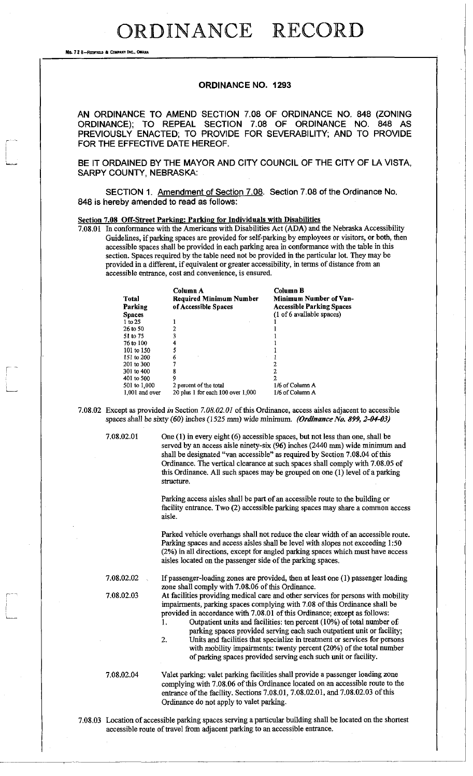## **ORDINANCE RECORD**

No. 72 8-REDFIELD & COMPANY INC., OMAHA

## **ORDINANCE NO. 1293**

AN ORDINANCE TO AMEND SECTION 7.08 OF ORDINANCE NO. 848 (ZONING ORDINANCE); TO REPEAL SECTION 7.08 OF ORDINANCE NO. 848 AS PREVIOUSLY ENACTED; TO PROVIDE FOR SEVERABILITY; AND TO PROVIDE FOR THE EFFECTIVE DATE HEREOF.

BE IT ORDAINED BY THE MAYOR AND CITY COUNCIL OF THE CITY OF LA VISTA, SARPY COUNTY, NEBRASKA:

SECTION 1. Amendment of Section 7.08. Section 7.08 of the Ordinance No. 848 is hereby amended to read as follows:

## Section 7.08 Off-Street Parking: Parking for Individuals with Disabilities

7.08.01 In conformance with the Americans with Disabilities Act (ADA) and the Nebraska Accessibility Guidelines, if parking spaces are provided for self-parking by employees or visitors, or both, then accessible spaces shall be provided in each parking area in conformance with the table in this section. Spaces required by the table need not be provided in the particular lot. They may be provided in a different, if equivalent or greater accessibility, in terms of distance from an accessible entrance, cost and convenience, is ensured.

| Total<br>Parking | Column A<br>Required Minimum Number<br>of Accessible Spaces | Column B<br>Minimum Number of Van-<br><b>Accessible Parking Spaces</b> |
|------------------|-------------------------------------------------------------|------------------------------------------------------------------------|
| <b>Spaces</b>    |                                                             | (1 of 6 available spaces)                                              |
| 1 to 25          |                                                             |                                                                        |
| 26 to 50         |                                                             |                                                                        |
| 51 to 75         |                                                             |                                                                        |
| 76 to 100        |                                                             |                                                                        |
| 101 to 150       | 5                                                           |                                                                        |
| 151 to 200       | 6                                                           |                                                                        |
| 201 to 300       |                                                             | 2                                                                      |
| 301 to 400       | 8                                                           |                                                                        |
| 401 to 500       | 9                                                           | 2                                                                      |
| 501 to 1,000     | 2 percent of the total                                      | 1/6 of Column A                                                        |
| $1,001$ and over | 20 plus 1 for each $100$ over $1,000$                       | 1/6 of Column A                                                        |

7.08.02 Except as provided *in* Section *7.08.02.01* of this Ordinance, access aisles adjacent to accessible spaces shall be sixty (60) inches (1525 mm) wide minimum. *(Ordinance No. 899, 2-04-03)* 

7.08.02.01 One (1) in every eight (6) accessible spaces, but not less than one, shall be served by an access aisle ninety-six (96) inches (2440 mm) wide minimum and shall be designated "van accessible" as required by Section 7.08.04 of this Ordinance. The vertical clearance at such spaces shall comply with 7.08.05 of this Ordinance. All such spaces may be grouped on one (1) level of a parking structure.

> Parking access aisles shall be part of an accessible route to the building or facility entrance. Two (2) accessible parking spaces may share a common access aisle.

> Parked vehicle overhangs shall not reduce the clear width of an accessible route. Parking spaces and access aisles shall be level with slopes not exceeding 1:50 (2%) in all directions, except for angled parking spaces which must have access aisles located on the passenger side of the parking spaces.

7.08.02.02 If passenger-loading zones are provided, then at least one (1) passenger loading zone shall comply with 7.08.06 of this Ordinance.

7.08.02.03 At facilities providing medical care and other services for persons with mobility impairments, parking spaces complying with 7.08 of this Ordinance shall be provided in accordance with 7.08.01 of this Ordinance; except as follows:

1. Outpatient units and facilities: ten percent (10%) of total number of parking spaces provided serving each such outpatient unit or facility;

2. Units and facilities that specialize in treatment or services for persons with mobility impairments: twenty percent (20%) of the total number of parking spaces provided serving each such unit or facility.

7.08.02.04 Valet parking: valet parking facilities shall provide a passenger loading zone complying with 7.08.06 of this Ordinance located on an accessible route to the entrance of the facility. Sections 7.08.01, 7.08.02.01, and 7.08.02.03 of this Ordinance do not apply to valet parking.

7.08.03 Location of accessible parking spaces serving a particular building shall be located on the shortest accessible route of travel from adjacent parking to an accessible entrance.